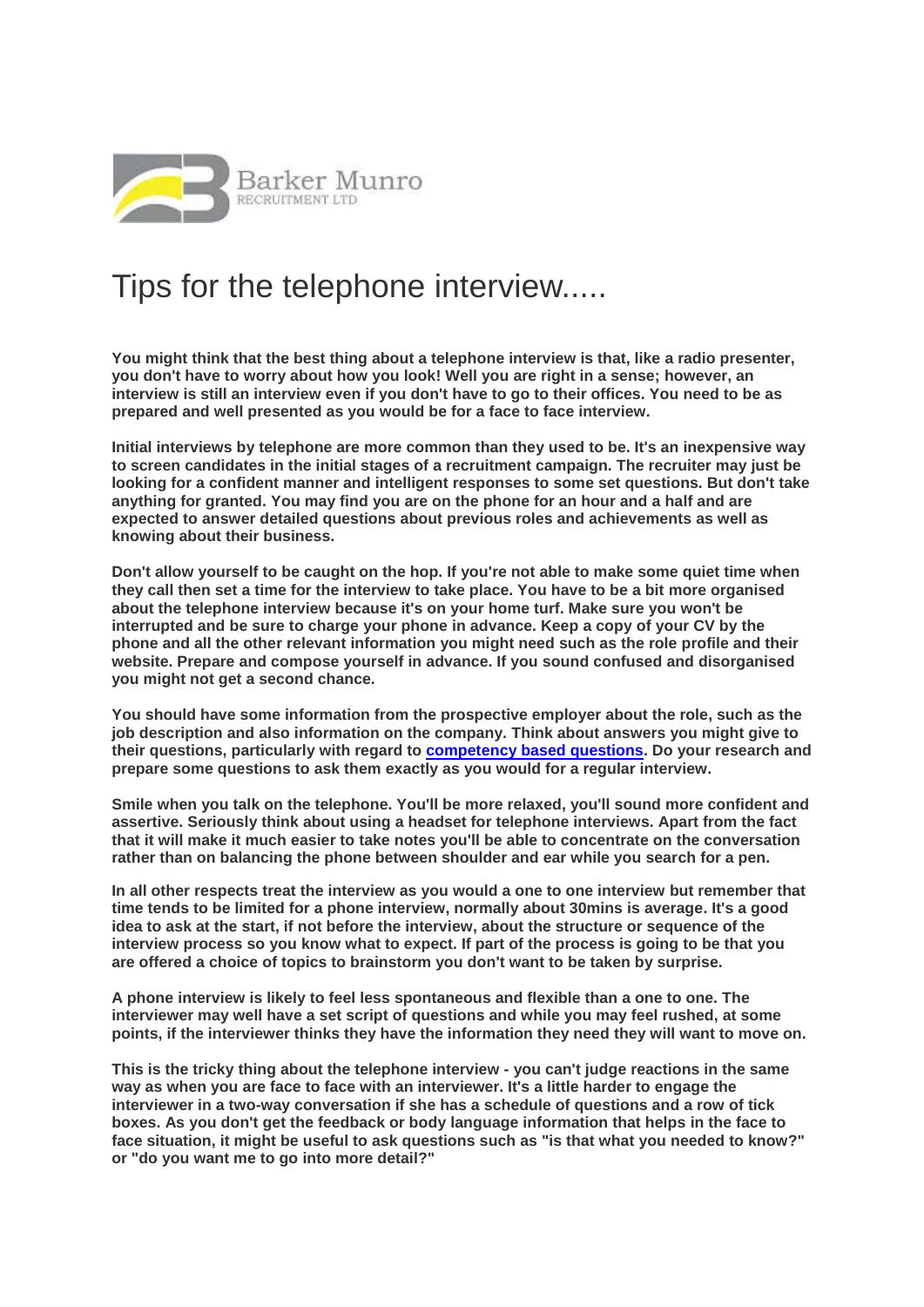

## Tips for the telephone interview.....

**You might think that the best thing about a telephone interview is that, like a radio presenter, you don't have to worry about how you look! Well you are right in a sense; however, an interview is still an interview even if you don't have to go to their offices. You need to be as prepared and well presented as you would be for a face to face interview.**

**Initial interviews by telephone are more common than they used to be. It's an inexpensive way to screen candidates in the initial stages of a recruitment campaign. The recruiter may just be looking for a confident manner and intelligent responses to some set questions. But don't take anything for granted. You may find you are on the phone for an hour and a half and are expected to answer detailed questions about previous roles and achievements as well as knowing about their business.**

**Don't allow yourself to be caught on the hop. If you're not able to make some quiet time when they call then set a time for the interview to take place. You have to be a bit more organised about the telephone interview because it's on your home turf. Make sure you won't be interrupted and be sure to charge your phone in advance. Keep a copy of your CV by the phone and all the other relevant information you might need such as the role profile and their website. Prepare and compose yourself in advance. If you sound confused and disorganised you might not get a second chance.**

**You should have some information from the prospective employer about the role, such as the job description and also information on the company. Think about answers you might give to their questions, particularly with regard to [competency based questions.](http://www.barkermunro.co.uk/wp-content/uploads/2014/02/Competency-Based-Interviews.pdf) Do your research and prepare some questions to ask them exactly as you would for a regular interview.**

**Smile when you talk on the telephone. You'll be more relaxed, you'll sound more confident and assertive. Seriously think about using a headset for telephone interviews. Apart from the fact that it will make it much easier to take notes you'll be able to concentrate on the conversation rather than on balancing the phone between shoulder and ear while you search for a pen.**

**In all other respects treat the interview as you would a one to one interview but remember that time tends to be limited for a phone interview, normally about 30mins is average. It's a good idea to ask at the start, if not before the interview, about the structure or sequence of the interview process so you know what to expect. If part of the process is going to be that you are offered a choice of topics to brainstorm you don't want to be taken by surprise.**

**A phone interview is likely to feel less spontaneous and flexible than a one to one. The interviewer may well have a set script of questions and while you may feel rushed, at some points, if the interviewer thinks they have the information they need they will want to move on.**

**This is the tricky thing about the telephone interview - you can't judge reactions in the same way as when you are face to face with an interviewer. It's a little harder to engage the interviewer in a two-way conversation if she has a schedule of questions and a row of tick boxes. As you don't get the feedback or body language information that helps in the face to face situation, it might be useful to ask questions such as "is that what you needed to know?" or "do you want me to go into more detail?"**